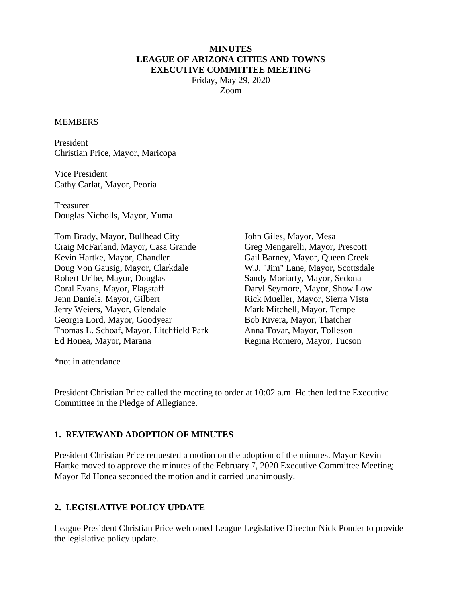#### **MINUTES LEAGUE OF ARIZONA CITIES AND TOWNS EXECUTIVE COMMITTEE MEETING**

Friday, May 29, 2020 Zoom

#### MEMBERS

President Christian Price, Mayor, Maricopa

Vice President Cathy Carlat, Mayor, Peoria

Treasurer Douglas Nicholls, Mayor, Yuma

Tom Brady, Mayor, Bullhead City Craig McFarland, Mayor, Casa Grande Kevin Hartke, Mayor, Chandler Doug Von Gausig, Mayor, Clarkdale Robert Uribe, Mayor, Douglas Coral Evans, Mayor, Flagstaff Jenn Daniels, Mayor, Gilbert Jerry Weiers, Mayor, Glendale Georgia Lord, Mayor, Goodyear Thomas L. Schoaf, Mayor, Litchfield Park Ed Honea, Mayor, Marana

John Giles, Mayor, Mesa Greg Mengarelli, Mayor, Prescott Gail Barney, Mayor, Queen Creek W.J. "Jim" Lane, Mayor, Scottsdale Sandy Moriarty, Mayor, Sedona Daryl Seymore, Mayor, Show Low Rick Mueller, Mayor, Sierra Vista Mark Mitchell, Mayor, Tempe Bob Rivera, Mayor, Thatcher Anna Tovar, Mayor, Tolleson Regina Romero, Mayor, Tucson

\*not in attendance

President Christian Price called the meeting to order at 10:02 a.m. He then led the Executive Committee in the Pledge of Allegiance.

#### **1. REVIEWAND ADOPTION OF MINUTES**

President Christian Price requested a motion on the adoption of the minutes. Mayor Kevin Hartke moved to approve the minutes of the February 7, 2020 Executive Committee Meeting; Mayor Ed Honea seconded the motion and it carried unanimously.

### **2. LEGISLATIVE POLICY UPDATE**

League President Christian Price welcomed League Legislative Director Nick Ponder to provide the legislative policy update.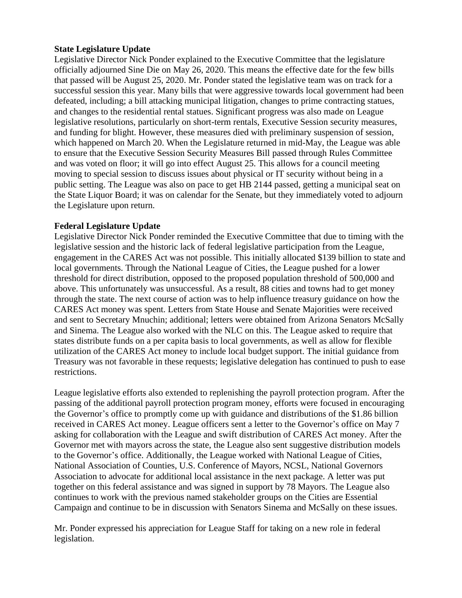### **State Legislature Update**

Legislative Director Nick Ponder explained to the Executive Committee that the legislature officially adjourned Sine Die on May 26, 2020. This means the effective date for the few bills that passed will be August 25, 2020. Mr. Ponder stated the legislative team was on track for a successful session this year. Many bills that were aggressive towards local government had been defeated, including; a bill attacking municipal litigation, changes to prime contracting statues, and changes to the residential rental statues. Significant progress was also made on League legislative resolutions, particularly on short-term rentals, Executive Session security measures, and funding for blight. However, these measures died with preliminary suspension of session, which happened on March 20. When the Legislature returned in mid-May, the League was able to ensure that the Executive Session Security Measures Bill passed through Rules Committee and was voted on floor; it will go into effect August 25. This allows for a council meeting moving to special session to discuss issues about physical or IT security without being in a public setting. The League was also on pace to get HB 2144 passed, getting a municipal seat on the State Liquor Board; it was on calendar for the Senate, but they immediately voted to adjourn the Legislature upon return.

### **Federal Legislature Update**

Legislative Director Nick Ponder reminded the Executive Committee that due to timing with the legislative session and the historic lack of federal legislative participation from the League, engagement in the CARES Act was not possible. This initially allocated \$139 billion to state and local governments. Through the National League of Cities, the League pushed for a lower threshold for direct distribution, opposed to the proposed population threshold of 500,000 and above. This unfortunately was unsuccessful. As a result, 88 cities and towns had to get money through the state. The next course of action was to help influence treasury guidance on how the CARES Act money was spent. Letters from State House and Senate Majorities were received and sent to Secretary Mnuchin; additional; letters were obtained from Arizona Senators McSally and Sinema. The League also worked with the NLC on this. The League asked to require that states distribute funds on a per capita basis to local governments, as well as allow for flexible utilization of the CARES Act money to include local budget support. The initial guidance from Treasury was not favorable in these requests; legislative delegation has continued to push to ease restrictions.

League legislative efforts also extended to replenishing the payroll protection program. After the passing of the additional payroll protection program money, efforts were focused in encouraging the Governor's office to promptly come up with guidance and distributions of the \$1.86 billion received in CARES Act money. League officers sent a letter to the Governor's office on May 7 asking for collaboration with the League and swift distribution of CARES Act money. After the Governor met with mayors across the state, the League also sent suggestive distribution models to the Governor's office. Additionally, the League worked with National League of Cities, National Association of Counties, U.S. Conference of Mayors, NCSL, National Governors Association to advocate for additional local assistance in the next package. A letter was put together on this federal assistance and was signed in support by 78 Mayors. The League also continues to work with the previous named stakeholder groups on the Cities are Essential Campaign and continue to be in discussion with Senators Sinema and McSally on these issues.

Mr. Ponder expressed his appreciation for League Staff for taking on a new role in federal legislation.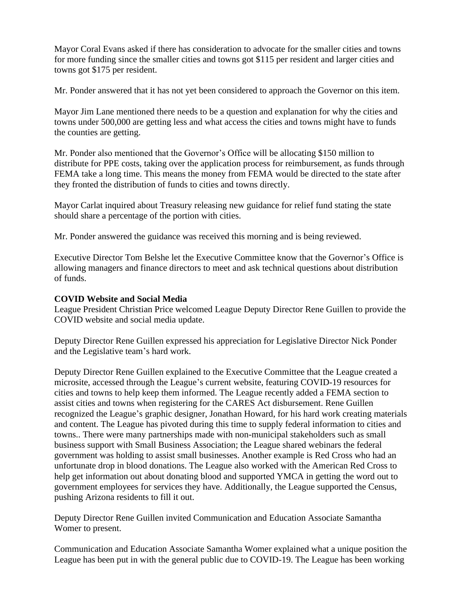Mayor Coral Evans asked if there has consideration to advocate for the smaller cities and towns for more funding since the smaller cities and towns got \$115 per resident and larger cities and towns got \$175 per resident.

Mr. Ponder answered that it has not yet been considered to approach the Governor on this item.

Mayor Jim Lane mentioned there needs to be a question and explanation for why the cities and towns under 500,000 are getting less and what access the cities and towns might have to funds the counties are getting.

Mr. Ponder also mentioned that the Governor's Office will be allocating \$150 million to distribute for PPE costs, taking over the application process for reimbursement, as funds through FEMA take a long time. This means the money from FEMA would be directed to the state after they fronted the distribution of funds to cities and towns directly.

Mayor Carlat inquired about Treasury releasing new guidance for relief fund stating the state should share a percentage of the portion with cities.

Mr. Ponder answered the guidance was received this morning and is being reviewed.

Executive Director Tom Belshe let the Executive Committee know that the Governor's Office is allowing managers and finance directors to meet and ask technical questions about distribution of funds.

#### **COVID Website and Social Media**

League President Christian Price welcomed League Deputy Director Rene Guillen to provide the COVID website and social media update.

Deputy Director Rene Guillen expressed his appreciation for Legislative Director Nick Ponder and the Legislative team's hard work.

Deputy Director Rene Guillen explained to the Executive Committee that the League created a microsite, accessed through the League's current website, featuring COVID-19 resources for cities and towns to help keep them informed. The League recently added a FEMA section to assist cities and towns when registering for the CARES Act disbursement. Rene Guillen recognized the League's graphic designer, Jonathan Howard, for his hard work creating materials and content. The League has pivoted during this time to supply federal information to cities and towns.. There were many partnerships made with non-municipal stakeholders such as small business support with Small Business Association; the League shared webinars the federal government was holding to assist small businesses. Another example is Red Cross who had an unfortunate drop in blood donations. The League also worked with the American Red Cross to help get information out about donating blood and supported YMCA in getting the word out to government employees for services they have. Additionally, the League supported the Census, pushing Arizona residents to fill it out.

Deputy Director Rene Guillen invited Communication and Education Associate Samantha Womer to present.

Communication and Education Associate Samantha Womer explained what a unique position the League has been put in with the general public due to COVID-19. The League has been working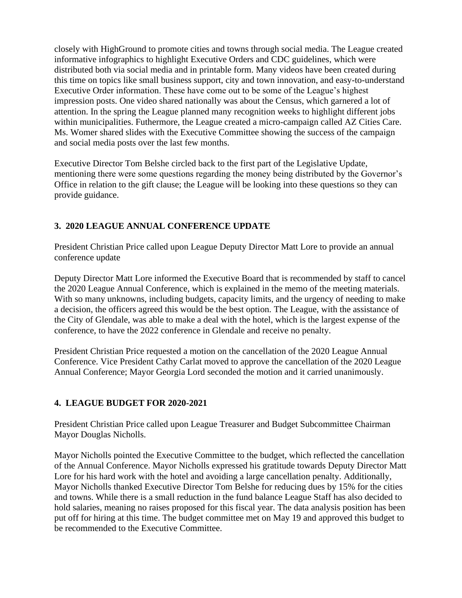closely with HighGround to promote cities and towns through social media. The League created informative infographics to highlight Executive Orders and CDC guidelines, which were distributed both via social media and in printable form. Many videos have been created during this time on topics like small business support, city and town innovation, and easy-to-understand Executive Order information. These have come out to be some of the League's highest impression posts. One video shared nationally was about the Census, which garnered a lot of attention. In the spring the League planned many recognition weeks to highlight different jobs within municipalities. Futhermore, the League created a micro-campaign called AZ Cities Care. Ms. Womer shared slides with the Executive Committee showing the success of the campaign and social media posts over the last few months.

Executive Director Tom Belshe circled back to the first part of the Legislative Update, mentioning there were some questions regarding the money being distributed by the Governor's Office in relation to the gift clause; the League will be looking into these questions so they can provide guidance.

# **3. 2020 LEAGUE ANNUAL CONFERENCE UPDATE**

President Christian Price called upon League Deputy Director Matt Lore to provide an annual conference update

Deputy Director Matt Lore informed the Executive Board that is recommended by staff to cancel the 2020 League Annual Conference, which is explained in the memo of the meeting materials. With so many unknowns, including budgets, capacity limits, and the urgency of needing to make a decision, the officers agreed this would be the best option. The League, with the assistance of the City of Glendale, was able to make a deal with the hotel, which is the largest expense of the conference, to have the 2022 conference in Glendale and receive no penalty.

President Christian Price requested a motion on the cancellation of the 2020 League Annual Conference. Vice President Cathy Carlat moved to approve the cancellation of the 2020 League Annual Conference; Mayor Georgia Lord seconded the motion and it carried unanimously.

## **4. LEAGUE BUDGET FOR 2020-2021**

President Christian Price called upon League Treasurer and Budget Subcommittee Chairman Mayor Douglas Nicholls.

Mayor Nicholls pointed the Executive Committee to the budget, which reflected the cancellation of the Annual Conference. Mayor Nicholls expressed his gratitude towards Deputy Director Matt Lore for his hard work with the hotel and avoiding a large cancellation penalty. Additionally, Mayor Nicholls thanked Executive Director Tom Belshe for reducing dues by 15% for the cities and towns. While there is a small reduction in the fund balance League Staff has also decided to hold salaries, meaning no raises proposed for this fiscal year. The data analysis position has been put off for hiring at this time. The budget committee met on May 19 and approved this budget to be recommended to the Executive Committee.